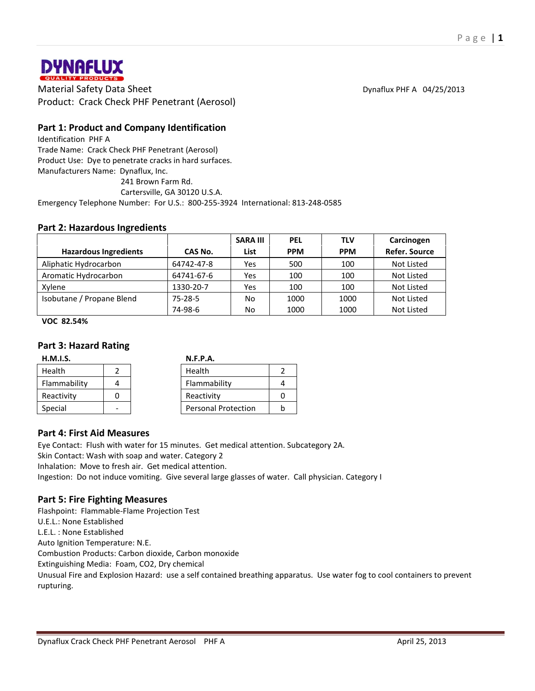

**DYNAFLUX**<br> **Material Safety Data Sheet** Dynaflux PHF A 04/25/2013<br>
Material Safety Data Sheet Dynaflux PHF A 04/25/2013 Product: Crack Check PHF Penetrant (Aerosol)

# **Part 1: Product and Company Identification**

Identification PHF A Trade Name: Crack Check PHF Penetrant (Aerosol) Product Use: Dye to penetrate cracks in hard surfaces. Manufacturers Name: Dynaflux, Inc. 241 Brown Farm Rd.

Cartersville, GA 30120 U.S.A.

Emergency Telephone Number: For U.S.: 800-255-3924 International: 813-248-0585

### **Part 2: Hazardous Ingredients**

|                              |               | <b>SARA III</b> | <b>PEL</b> | <b>TLV</b> | Carcinogen           |
|------------------------------|---------------|-----------------|------------|------------|----------------------|
| <b>Hazardous Ingredients</b> | CAS No.       | List            | <b>PPM</b> | <b>PPM</b> | <b>Refer. Source</b> |
| Aliphatic Hydrocarbon        | 64742-47-8    | Yes             | 500        | 100        | Not Listed           |
| Aromatic Hydrocarbon         | 64741-67-6    | Yes             | 100        | 100        | Not Listed           |
| Xylene                       | 1330-20-7     | Yes             | 100        | 100        | Not Listed           |
| Isobutane / Propane Blend    | $75 - 28 - 5$ | No              | 1000       | 1000       | Not Listed           |
|                              | 74-98-6       | No              | 1000       | 1000       | Not Listed           |

**VOC 82.54%**

### **Part 3: Hazard Rating**

|  |  | H.M.I.S. |
|--|--|----------|
|  |  |          |

| H.M.I.S.     |   | N.F.P.A.                   |   |
|--------------|---|----------------------------|---|
| Health       |   | Health                     |   |
| Flammability |   | Flammability               |   |
| Reactivity   |   | Reactivity                 |   |
| Special      | - | <b>Personal Protection</b> | b |

### **Part 4: First Aid Measures**

Eye Contact: Flush with water for 15 minutes. Get medical attention. Subcategory 2A. Skin Contact: Wash with soap and water. Category 2 Inhalation: Move to fresh air. Get medical attention. Ingestion: Do not induce vomiting. Give several large glasses of water. Call physician. Category I

### **Part 5: Fire Fighting Measures**

Flashpoint: Flammable-Flame Projection Test U.E.L.: None Established L.E.L. : None Established Auto Ignition Temperature: N.E. Combustion Products: Carbon dioxide, Carbon monoxide Extinguishing Media: Foam, CO2, Dry chemical Unusual Fire and Explosion Hazard: use a self contained breathing apparatus. Use water fog to cool containers to prevent rupturing.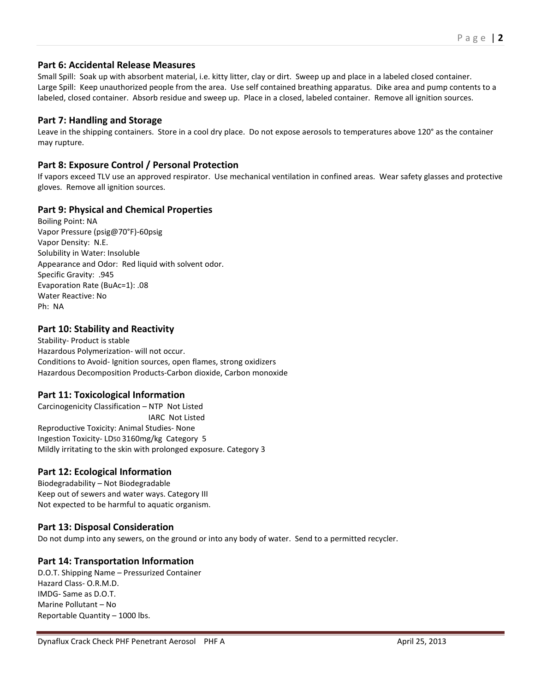# **Part 6: Accidental Release Measures**

Small Spill: Soak up with absorbent material, i.e. kitty litter, clay or dirt. Sweep up and place in a labeled closed container. Large Spill: Keep unauthorized people from the area. Use self contained breathing apparatus. Dike area and pump contents to a labeled, closed container. Absorb residue and sweep up. Place in a closed, labeled container. Remove all ignition sources.

# **Part 7: Handling and Storage**

Leave in the shipping containers. Store in a cool dry place. Do not expose aerosols to temperatures above 120° as the container may rupture.

# **Part 8: Exposure Control / Personal Protection**

If vapors exceed TLV use an approved respirator. Use mechanical ventilation in confined areas. Wear safety glasses and protective gloves. Remove all ignition sources.

# **Part 9: Physical and Chemical Properties**

Boiling Point: NA Vapor Pressure (psig@70°F)-60psig Vapor Density: N.E. Solubility in Water: Insoluble Appearance and Odor: Red liquid with solvent odor. Specific Gravity: .945 Evaporation Rate (BuAc=1): .08 Water Reactive: No Ph: NA

# **Part 10: Stability and Reactivity**

Stability- Product is stable Hazardous Polymerization- will not occur. Conditions to Avoid- Ignition sources, open flames, strong oxidizers Hazardous Decomposition Products-Carbon dioxide, Carbon monoxide

### **Part 11: Toxicological Information**

Carcinogenicity Classification – NTP Not Listed IARC Not Listed Reproductive Toxicity: Animal Studies- None Ingestion Toxicity- LD50 3160mg/kg Category 5 Mildly irritating to the skin with prolonged exposure. Category 3

### **Part 12: Ecological Information**

Biodegradability – Not Biodegradable Keep out of sewers and water ways. Category III Not expected to be harmful to aquatic organism.

# **Part 13: Disposal Consideration**

Do not dump into any sewers, on the ground or into any body of water. Send to a permitted recycler.

### **Part 14: Transportation Information**

D.O.T. Shipping Name – Pressurized Container Hazard Class- O.R.M.D. IMDG- Same as D.O.T. Marine Pollutant – No Reportable Quantity – 1000 lbs.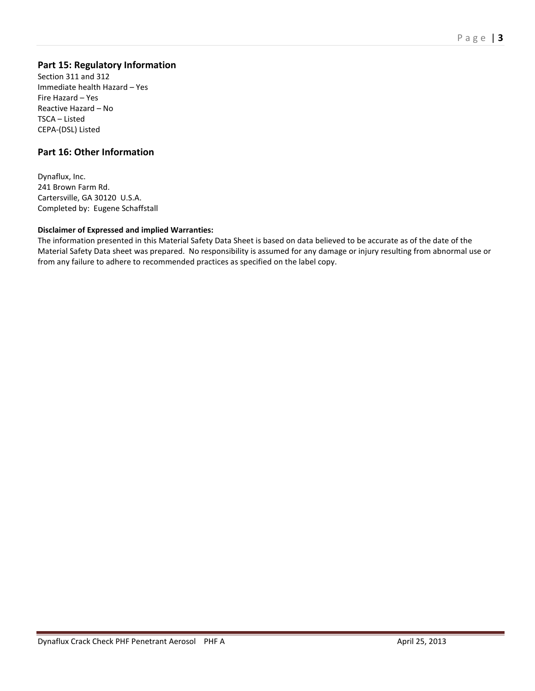# **Part 15: Regulatory Information**

Section 311 and 312 Immediate health Hazard – Yes Fire Hazard – Yes Reactive Hazard – No TSCA – Listed CEPA-(DSL) Listed

# **Part 16: Other Information**

Dynaflux, Inc. 241 Brown Farm Rd. Cartersville, GA 30120 U.S.A. Completed by: Eugene Schaffstall

#### **Disclaimer of Expressed and implied Warranties:**

The information presented in this Material Safety Data Sheet is based on data believed to be accurate as of the date of the Material Safety Data sheet was prepared. No responsibility is assumed for any damage or injury resulting from abnormal use or from any failure to adhere to recommended practices as specified on the label copy.